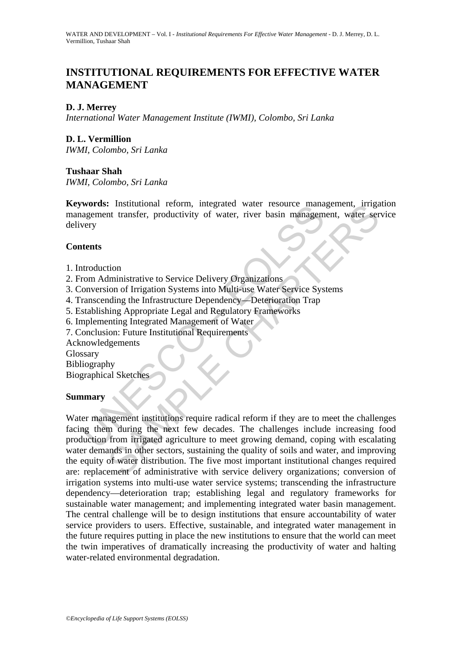## **INSTITUTIONAL REQUIREMENTS FOR EFFECTIVE WATER MANAGEMENT**

## **D. J. Merrey**

*International Water Management Institute (IWMI), Colombo, Sri Lanka* 

# **D. L. Vermillion**

*IWMI, Colombo, Sri Lanka* 

#### **Tushaar Shah**

*IWMI, Colombo, Sri Lanka* 

**Keywords:** Institutional reform, integrated water resource management, irrigation management transfer, productivity of water, river basin management, water service delivery

#### **Contents**

- 1. Introduction
- 2. From Administrative to Service Delivery Organizations
- 3. Conversion of Irrigation Systems into Multi-use Water Service Systems
- 4. Transcending the Infrastructure Dependency—Deterioration Trap
- 5. Establishing Appropriate Legal and Regulatory Frameworks
- 6. Implementing Integrated Management of Water
- 7. Conclusion: Future Institutional Requirements

Acknowledgements

Glossary

Bibliography

Biographical Sketches

## **Summary**

Words: Institutional Terorin, integrated water Tesource management transfer, productivity of water, river basin management transfer, productivity of water, river basin management transfer, productivity of water, river basi Examplement institutional reform, integrated water resource management, irring<br>the transfer, productivity of water, river basin management, water server<br>that transfer, productivity of water, river basin management, water s Water management institutions require radical reform if they are to meet the challenges facing them during the next few decades. The challenges include increasing food production from irrigated agriculture to meet growing demand, coping with escalating water demands in other sectors, sustaining the quality of soils and water, and improving the equity of water distribution. The five most important institutional changes required are: replacement of administrative with service delivery organizations; conversion of irrigation systems into multi-use water service systems; transcending the infrastructure dependency—deterioration trap; establishing legal and regulatory frameworks for sustainable water management; and implementing integrated water basin management. The central challenge will be to design institutions that ensure accountability of water service providers to users. Effective, sustainable, and integrated water management in the future requires putting in place the new institutions to ensure that the world can meet the twin imperatives of dramatically increasing the productivity of water and halting water-related environmental degradation.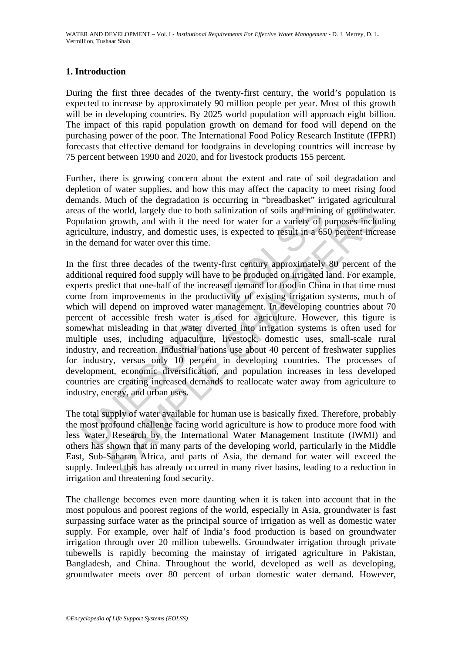## **1. Introduction**

During the first three decades of the twenty-first century, the world's population is expected to increase by approximately 90 million people per year. Most of this growth will be in developing countries. By 2025 world population will approach eight billion. The impact of this rapid population growth on demand for food will depend on the purchasing power of the poor. The International Food Policy Research Institute (IFPRI) forecasts that effective demand for foodgrains in developing countries will increase by 75 percent between 1990 and 2020, and for livestock products 155 percent.

Further, there is growing concern about the extent and rate of soil degradation and depletion of water supplies, and how this may affect the capacity to meet rising food demands. Much of the degradation is occurring in "breadbasket" irrigated agricultural areas of the world, largely due to both salinization of soils and mining of groundwater. Population growth, and with it the need for water for a variety of purposes including agriculture, industry, and domestic uses, is expected to result in a 650 percent increase in the demand for water over this time.

is of the world, largely due to both salinization of soils and miniulation growth, and with it the need for water for a variety of julidation growth, and with it the need for water for a variety of julidation equivalently, is world, largely due to both salimization of soils and mining of groundward enevorld, largely due to both salimization of soils and mining of groundward growth, and domestic uses, is expected to result in a 650 percent in In the first three decades of the twenty-first century approximately 80 percent of the additional required food supply will have to be produced on irrigated land. For example, experts predict that one-half of the increased demand for food in China in that time must come from improvements in the productivity of existing irrigation systems, much of which will depend on improved water management. In developing countries about 70 percent of accessible fresh water is used for agriculture. However, this figure is somewhat misleading in that water diverted into irrigation systems is often used for multiple uses, including aquaculture, livestock, domestic uses, small-scale rural industry, and recreation. Industrial nations use about 40 percent of freshwater supplies for industry, versus only 10 percent in developing countries. The processes of development, economic diversification, and population increases in less developed countries are creating increased demands to reallocate water away from agriculture to industry, energy, and urban uses.

The total supply of water available for human use is basically fixed. Therefore, probably the most profound challenge facing world agriculture is how to produce more food with less water. Research by the International Water Management Institute (IWMI) and others has shown that in many parts of the developing world, particularly in the Middle East, Sub-Saharan Africa, and parts of Asia, the demand for water will exceed the supply. Indeed this has already occurred in many river basins, leading to a reduction in irrigation and threatening food security.

The challenge becomes even more daunting when it is taken into account that in the most populous and poorest regions of the world, especially in Asia, groundwater is fast surpassing surface water as the principal source of irrigation as well as domestic water supply. For example, over half of India's food production is based on groundwater irrigation through over 20 million tubewells. Groundwater irrigation through private tubewells is rapidly becoming the mainstay of irrigated agriculture in Pakistan, Bangladesh, and China. Throughout the world, developed as well as developing, groundwater meets over 80 percent of urban domestic water demand. However,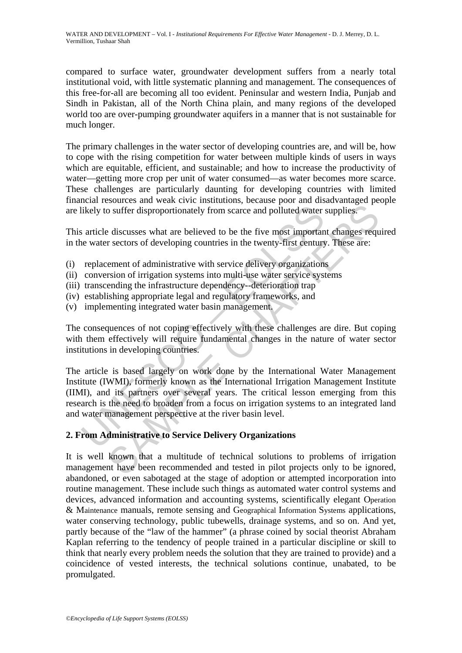WATER AND DEVELOPMENT – Vol. I - *Institutional Requirements For Effective Water Management* - D. J. Merrey, D. L. Vermillion, Tushaar Shah

compared to surface water, groundwater development suffers from a nearly total institutional void, with little systematic planning and management. The consequences of this free-for-all are becoming all too evident. Peninsular and western India, Punjab and Sindh in Pakistan, all of the North China plain, and many regions of the developed world too are over-pumping groundwater aquifers in a manner that is not sustainable for much longer.

The primary challenges in the water sector of developing countries are, and will be, how to cope with the rising competition for water between multiple kinds of users in ways which are equitable, efficient, and sustainable; and how to increase the productivity of water—getting more crop per unit of water consumed—as water becomes more scarce. These challenges are particularly daunting for developing countries with limited financial resources and weak civic institutions, because poor and disadvantaged people are likely to suffer disproportionately from scarce and polluted water supplies.

This article discusses what are believed to be the five most important changes required in the water sectors of developing countries in the twenty-first century. These are:

- (i) replacement of administrative with service delivery organizations
- (ii) conversion of irrigation systems into multi-use water service systems
- (iii) transcending the infrastructure dependency--deterioration trap
- (iv) establishing appropriate legal and regulatory frameworks, and
- (v) implementing integrated water basin management.

The consequences of not coping effectively with these challenges are dire. But coping with them effectively will require fundamental changes in the nature of water sector institutions in developing countries.

likely to suffer disproportionately from scarce and polluted water s article discusses what are believed to be the five most importance water sectors of developing countries in the twenty-first century replacement of admin of solution and political streamed and tested in political streamed and tested in the most important changes ferrectors of developing countries in the twenty-first century. These are:<br>
resectors of developing countries in The article is based largely on work done by the International Water Management Institute (IWMI), formerly known as the International Irrigation Management Institute (IIMI), and its partners over several years. The critical lesson emerging from this research is the need to broaden from a focus on irrigation systems to an integrated land and water management perspective at the river basin level.

## **2. From Administrative to Service Delivery Organizations**

It is well known that a multitude of technical solutions to problems of irrigation management have been recommended and tested in pilot projects only to be ignored, abandoned, or even sabotaged at the stage of adoption or attempted incorporation into routine management. These include such things as automated water control systems and devices, advanced information and accounting systems, scientifically elegant Operation & Maintenance manuals, remote sensing and Geographical Information Systems applications, water conserving technology, public tubewells, drainage systems, and so on. And yet, partly because of the "law of the hammer" (a phrase coined by social theorist Abraham Kaplan referring to the tendency of people trained in a particular discipline or skill to think that nearly every problem needs the solution that they are trained to provide) and a coincidence of vested interests, the technical solutions continue, unabated, to be promulgated.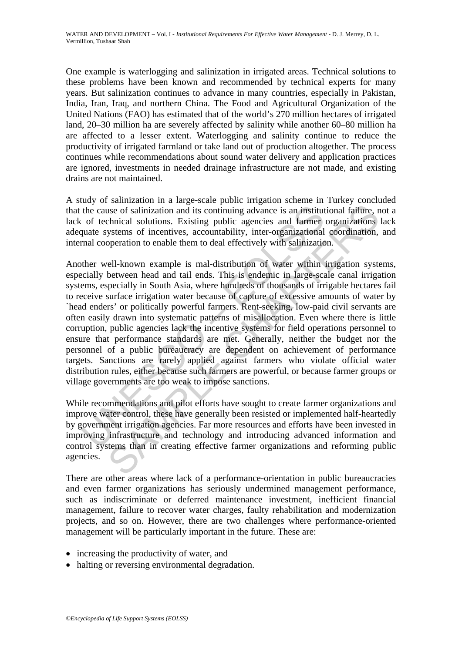One example is waterlogging and salinization in irrigated areas. Technical solutions to these problems have been known and recommended by technical experts for many years. But salinization continues to advance in many countries, especially in Pakistan, India, Iran, Iraq, and northern China. The Food and Agricultural Organization of the United Nations (FAO) has estimated that of the world's 270 million hectares of irrigated land, 20–30 million ha are severely affected by salinity while another 60–80 million ha are affected to a lesser extent. Waterlogging and salinity continue to reduce the productivity of irrigated farmland or take land out of production altogether. The process continues while recommendations about sound water delivery and application practices are ignored, investments in needed drainage infrastructure are not made, and existing drains are not maintained.

A study of salinization in a large-scale public irrigation scheme in Turkey concluded that the cause of salinization and its continuing advance is an institutional failure, not a lack of technical solutions. Existing public agencies and farmer organizations lack adequate systems of incentives, accountability, inter-organizational coordination, and internal cooperation to enable them to deal effectively with salinization.

the cause of salinization and its continuing advance is an institute of technical solutions. Existing public agencies and farmer quate systems of incentives, accountability, inter-organizational mal cooperation to enable t use of salinization and its continuing advance is an institutional failure, response to salinization and its continuing advance is an institutional failure, responsed in sections. Existing public agencies and farmer organi Another well-known example is mal-distribution of water within irrigation systems, especially between head and tail ends. This is endemic in large-scale canal irrigation systems, especially in South Asia, where hundreds of thousands of irrigable hectares fail to receive surface irrigation water because of capture of excessive amounts of water by `head enders' or politically powerful farmers. Rent-seeking, low-paid civil servants are often easily drawn into systematic patterns of misallocation. Even where there is little corruption, public agencies lack the incentive systems for field operations personnel to ensure that performance standards are met. Generally, neither the budget nor the personnel of a public bureaucracy are dependent on achievement of performance targets. Sanctions are rarely applied against farmers who violate official water distribution rules, either because such farmers are powerful, or because farmer groups or village governments are too weak to impose sanctions.

While recommendations and pilot efforts have sought to create farmer organizations and improve water control, these have generally been resisted or implemented half-heartedly by government irrigation agencies. Far more resources and efforts have been invested in improving infrastructure and technology and introducing advanced information and control systems than in creating effective farmer organizations and reforming public agencies.

There are other areas where lack of a performance-orientation in public bureaucracies and even farmer organizations has seriously undermined management performance, such as indiscriminate or deferred maintenance investment, inefficient financial management, failure to recover water charges, faulty rehabilitation and modernization projects, and so on. However, there are two challenges where performance-oriented management will be particularly important in the future. These are:

- increasing the productivity of water, and
- halting or reversing environmental degradation.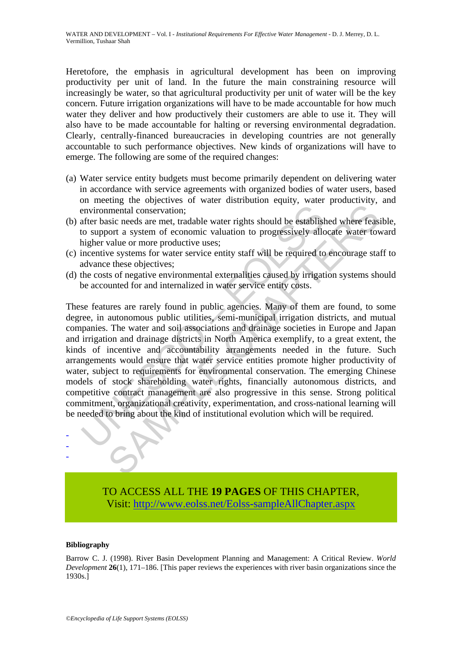Heretofore, the emphasis in agricultural development has been on improving productivity per unit of land. In the future the main constraining resource will increasingly be water, so that agricultural productivity per unit of water will be the key concern. Future irrigation organizations will have to be made accountable for how much water they deliver and how productively their customers are able to use it. They will also have to be made accountable for halting or reversing environmental degradation. Clearly, centrally-financed bureaucracies in developing countries are not generally accountable to such performance objectives. New kinds of organizations will have to emerge. The following are some of the required changes:

- (a) Water service entity budgets must become primarily dependent on delivering water in accordance with service agreements with organized bodies of water users, based on meeting the objectives of water distribution equity, water productivity, and environmental conservation;
- (b) after basic needs are met, tradable water rights should be established where feasible, to support a system of economic valuation to progressively allocate water toward higher value or more productive uses;
- (c) incentive systems for water service entity staff will be required to encourage staff to advance these objectives;
- (d) the costs of negative environmental externalities caused by irrigation systems should be accounted for and internalized in water service entity costs.

environmental conservation;<br>after basic needs are met, tradable water rights should be establist<br>to support a system of economic valuation to progressively all<br>higher value or more productive uses;<br>incentive systems for wa imental conservation;<br>
instituted conservation;<br>
internal conservation;<br>
instituted are met, tradable water rights should be established where feasure<br>
over a system of economic valuation to progressively allocate water to These features are rarely found in public agencies. Many of them are found, to some degree, in autonomous public utilities, semi-municipal irrigation districts, and mutual companies. The water and soil associations and drainage societies in Europe and Japan and irrigation and drainage districts in North America exemplify, to a great extent, the kinds of incentive and accountability arrangements needed in the future. Such arrangements would ensure that water service entities promote higher productivity of water, subject to requirements for environmental conservation. The emerging Chinese models of stock shareholding water rights, financially autonomous districts, and competitive contract management are also progressive in this sense. Strong political commitment, organizational creativity, experimentation, and cross-national learning will be needed to bring about the kind of institutional evolution which will be required.

> TO ACCESS ALL THE **19 PAGES** OF THIS CHAPTER, Visit[: http://www.eolss.net/Eolss-sampleAllChapter.aspx](https://www.eolss.net/ebooklib/sc_cart.aspx?File=E2-24M-03-05)

#### **Bibliography**

- - -

Barrow C. J. (1998). River Basin Development Planning and Management: A Critical Review. *World Development* **26**(1), 171–186. [This paper reviews the experiences with river basin organizations since the 1930s.]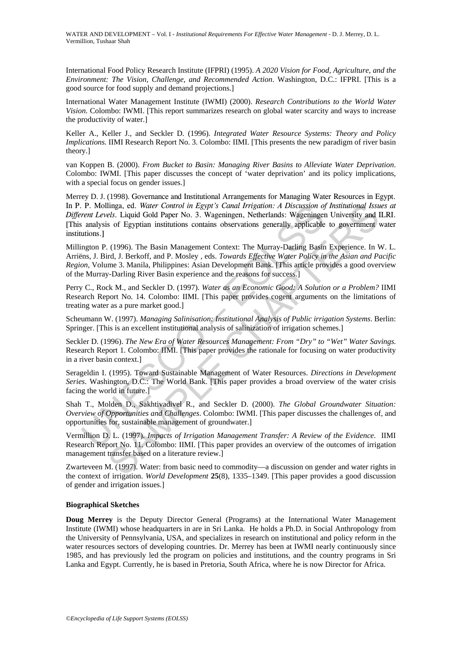International Food Policy Research Institute (IFPRI) (1995). *A 2020 Vision for Food, Agriculture, and the Environment: The Vision, Challenge, and Recommended Action*. Washington, D.C.: IFPRI. [This is a good source for food supply and demand projections.]

International Water Management Institute (IWMI) (2000). *Research Contributions to the World Water Vision*. Colombo: IWMI. [This report summarizes research on global water scarcity and ways to increase the productivity of water.]

Keller A., Keller J., and Seckler D. (1996). *Integrated Water Resource Systems: Theory and Policy Implications.* IIMI Research Report No. 3. Colombo: IIMI. [This presents the new paradigm of river basin theory.]

van Koppen B. (2000). *From Bucket to Basin: Managing River Basins to Alleviate Water Deprivation*. Colombo: IWMI. [This paper discusses the concept of 'water deprivation' and its policy implications, with a special focus on gender issues.]

Merrey D. J. (1998). Governance and Institutional Arrangements for Managing Water Resources in Egypt. In P. P. Mollinga, ed. *Water Control in Egypt's Canal Irrigation: A Discussion of Institutional Issues at Different Levels.* Liquid Gold Paper No. 3. Wageningen, Netherlands: Wageningen University and ILRI. [This analysis of Egyptian institutions contains observations generally applicable to government water institutions.]

P. Mollinga, ed. Water Control in Egypt's Canal Irrigation: A Discussion opentrical and Gold Paper No. 3. Wageningen, Netherlands: Wageningen analysis of Egyptian institutions contains observations generally applicable tur linga, ed. Water Control in Egypt's Canal Irrigation: A Discussion of Institutional Issue<br>
els. Liquid Gold Paper No. 3. Wageningen, Netherlands: Wageningen University as of Egyptian institutions contains observations gen Millington P. (1996). The Basin Management Context: The Murray-Darling Basin Experience. In W. L. Arriëns, J. Bird, J. Berkoff, and P. Mosley , eds. *Towards Effective Water Policy in the Asian and Pacific Region,* Volume 3. Manila, Philippines: Asian Development Bank. [This article provides a good overview of the Murray-Darling River Basin experience and the reasons for success.]

Perry C., Rock M., and Seckler D. (1997). *Water as an Economic Good: A Solution or a Problem?* IIMI Research Report No. 14. Colombo: IIMI. [This paper provides cogent arguments on the limitations of treating water as a pure market good.]

Scheumann W. (1997). *Managing Salinisation: Institutional Analysis of Public irrigation Systems*. Berlin: Springer. [This is an excellent institutional analysis of salinization of irrigation schemes.]

Seckler D. (1996). *The New Era of Water Resources Management: From "Dry" to "Wet" Water Savings.* Research Report 1. Colombo: IIMI. [This paper provides the rationale for focusing on water productivity in a river basin context.]

Serageldin I. (1995). Toward Sustainable Management of Water Resources. *Directions in Development Series*. Washington, D.C.: The World Bank. [This paper provides a broad overview of the water crisis facing the world in future.]

Shah T., Molden D., Sakhtivadivel R., and Seckler D. (2000). *The Global Groundwater Situation: Overview of Opportunities and Challenges*. Colombo: IWMI. [This paper discusses the challenges of, and opportunities for, sustainable management of groundwater.]

Vermillion D. L. (1997). *Impacts of Irrigation Management Transfer: A Review of the Evidence*. IIMI Research Report No. 11*.* Colombo: IIMI. [This paper provides an overview of the outcomes of irrigation management transfer based on a literature review.]

Zwarteveen M. (1997). Water: from basic need to commodity—a discussion on gender and water rights in the context of irrigation. *World Development* **25**(8), 1335–1349. [This paper provides a good discussion of gender and irrigation issues.]

#### **Biographical Sketches**

**Doug Merrey** is the Deputy Director General (Programs) at the International Water Management Institute (IWMI) whose headquarters in are in Sri Lanka. He holds a Ph.D. in Social Anthropology from the University of Pennsylvania, USA, and specializes in research on institutional and policy reform in the water resources sectors of developing countries. Dr. Merrey has been at IWMI nearly continuously since 1985, and has previously led the program on policies and institutions, and the country programs in Sri Lanka and Egypt. Currently, he is based in Pretoria, South Africa, where he is now Director for Africa.